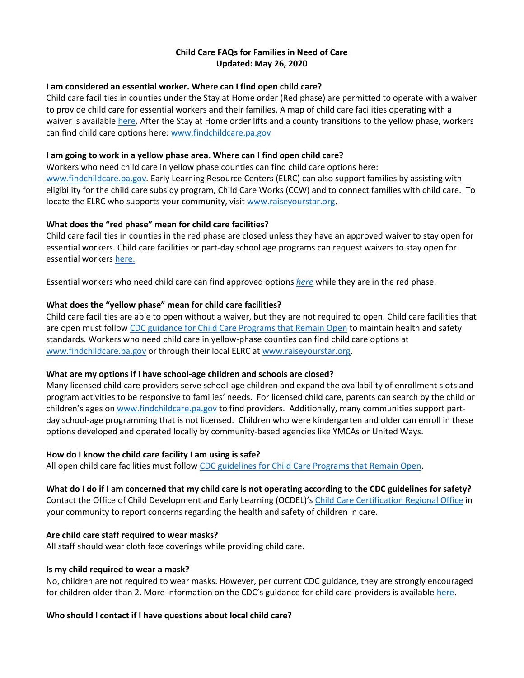## **Child Care FAQs for Families in Need of Care Updated: May 26, 2020**

### **I am considered an essential worker. Where can I find open child care?**

Child care facilities in counties under the Stay at Home order (Red phase) are permitted to operate with a waiver to provide child care for essential workers and their families. A map of child care facilities operating with a waiver is available [here.](https://gcc01.safelinks.protection.outlook.com/?url=https%3A%2F%2Fwww.dhs.pa.gov%2Fproviders%2FProviders%2FPages%2FCoronavirus-Child-Care.aspx&data=02%7C01%7Ctrcampanin%40pa.gov%7C569ad326a0c947921e5308d7e6e52005%7C418e284101284dd59b6c47fc5a9a1bde%7C0%7C0%7C637231744066667836&sdata=60bkoZ2JGsFL9jLrWZ7bSUy9qZP1ZIvbPFZ%2FI4x2gqU%3D&reserved=0) After the Stay at Home order lifts and a county transitions to the yellow phase, workers can find child care options here[: www.findchildcare.pa.gov](http://www.findchildcare.pa.gov/)

## **I am going to work in a yellow phase area. Where can I find open child care?**

Workers who need child care in yellow phase counties can find child care options here: [www.findchildcare.pa.gov](https://gcc01.safelinks.protection.outlook.com/?url=http%3A%2F%2Fwww.findchildcare.pa.gov%2F&data=02%7C01%7Ctrcampanin%40pa.gov%7C569ad326a0c947921e5308d7e6e52005%7C418e284101284dd59b6c47fc5a9a1bde%7C0%7C0%7C637231744066677794&sdata=2RX23%2FOxcYKtJkxFD15EfgnD5rP%2Fm9i0pVKtLbmW0Co%3D&reserved=0)*.* Early Learning Resource Centers (ELRC) can also support families by assisting with eligibility for the child care subsidy program, Child Care Works (CCW) and to connect families with child care. To locate the ELRC who supports your community, visi[t www.raiseyourstar.org.](http://www.raiseyourstar.org/)

# **What does the "red phase" mean for child care facilities?**

Child care facilities in counties in the red phase are closed unless they have an approved waiver to stay open for essential workers. Child care facilities or part-day school age programs can request waivers to stay open for essential workers [here.](https://secureservercdn.net/198.71.233.197/69d.231.myftpupload.com/wp-content/uploads/2020/03/Exemption-of-Directive-to-Temporarily-Close.03182020-fillable.pdf)

Essential workers who need child care can find approved options *[here](https://gcc01.safelinks.protection.outlook.com/?url=https%3A%2F%2Fwww.dhs.pa.gov%2Fproviders%2FProviders%2FPages%2FCoronavirus-Child-Care.aspx&data=02%7C01%7Ctrcampanin%40pa.gov%7C569ad326a0c947921e5308d7e6e52005%7C418e284101284dd59b6c47fc5a9a1bde%7C0%7C0%7C637231744066667836&sdata=60bkoZ2JGsFL9jLrWZ7bSUy9qZP1ZIvbPFZ%2FI4x2gqU%3D&reserved=0)* while they are in the red phase.

## **What does the "yellow phase" mean for child care facilities?**

Child care facilities are able to open without a waiver, but they are not required to open. Child care facilities that are open must follow [CDC guidance for Child Care](https://www.cdc.gov/coronavirus/2019-ncov/community/schools-childcare/guidance-for-childcare.html) Programs that Remain Open to maintain health and safety standards. Workers who need child care in yellow-phase counties can find child care options at [www.findchildcare.pa.gov](http://www.findchildcare.pa.gov/) or through their local ELRC a[t www.raiseyourstar.org.](http://www.raiseyourstar.org/)

# **What are my options if I have school-age children and schools are closed?**

Many licensed child care providers serve school-age children and expand the availability of enrollment slots and program activities to be responsive to families' needs. For licensed child care, parents can search by the child or children's ages on [www.findchildcare.pa.gov](http://www.findchildcare.pa.gov/) to find providers. Additionally, many communities support partday school-age programming that is not licensed. Children who were kindergarten and older can enroll in these options developed and operated locally by community-based agencies like YMCAs or United Ways.

### **How do I know the child care facility I am using is safe?**

All open child care facilities must follow CDC guidelines for [Child Care Programs that Remain Open.](https://www.cdc.gov/coronavirus/2019-ncov/community/schools-childcare/guidance-for-childcare.html)

### **What do I do if I am concerned that my child care is not operating according to the CDC guidelines for safety?**

Contact the Office of Child Development and Early Learning (OCDEL)'s [Child Care Certification Regional Office](http://files.constantcontact.com/3e3d36fe201/46f78a7b-2a60-49c6-ba2c-9256fc80e963.pdf) in your community to report concerns regarding the health and safety of children in care.

# **Are child care staff required to wear masks?**

All staff should wear cloth face coverings while providing child care.

### **Is my child required to wear a mask?**

No, children are not required to wear masks. However, per current CDC guidance, they are strongly encouraged for children older than 2. More information on the CDC's guidance for child care providers is available [here.](https://www.cdc.gov/coronavirus/2019-ncov/community/schools-childcare/guidance-for-childcare.html)

### **Who should I contact if I have questions about local child care?**